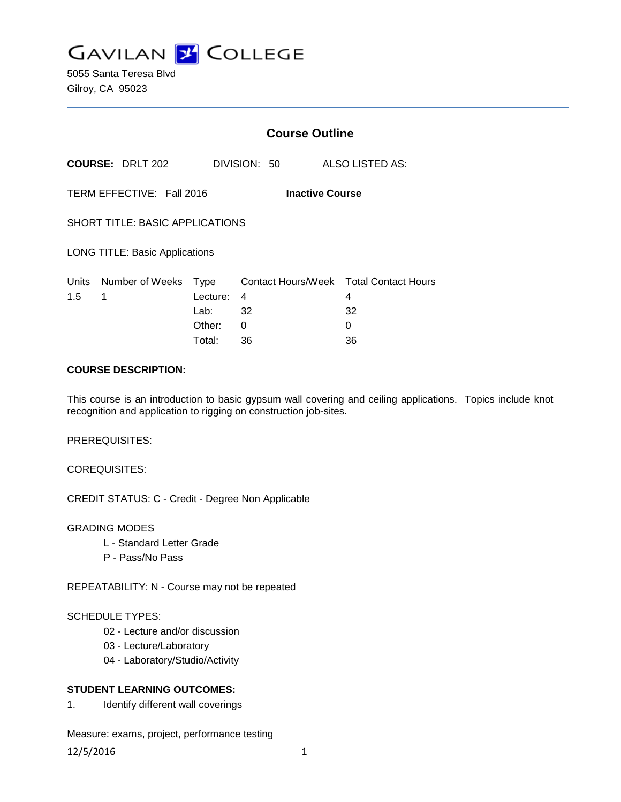

5055 Santa Teresa Blvd Gilroy, CA 95023

|                                                     |                         | <b>Course Outline</b> |              |    |                                        |
|-----------------------------------------------------|-------------------------|-----------------------|--------------|----|----------------------------------------|
|                                                     | <b>COURSE: DRLT 202</b> |                       | DIVISION: 50 |    | ALSO LISTED AS:                        |
| TERM EFFECTIVE: Fall 2016<br><b>Inactive Course</b> |                         |                       |              |    |                                        |
| SHORT TITLE: BASIC APPLICATIONS                     |                         |                       |              |    |                                        |
| <b>LONG TITLE: Basic Applications</b>               |                         |                       |              |    |                                        |
|                                                     | Units Number of Weeks   | Type                  |              |    | Contact Hours/Week Total Contact Hours |
| 1.5                                                 | 1                       | Lecture:              | 4            | 4  |                                        |
|                                                     |                         | Lab:                  | 32           | 32 |                                        |
|                                                     |                         | Other:                | 0            | 0  |                                        |
|                                                     |                         | Total:                | 36           | 36 |                                        |

#### **COURSE DESCRIPTION:**

This course is an introduction to basic gypsum wall covering and ceiling applications. Topics include knot recognition and application to rigging on construction job-sites.

PREREQUISITES:

COREQUISITES:

CREDIT STATUS: C - Credit - Degree Non Applicable

#### GRADING MODES

- L Standard Letter Grade
- P Pass/No Pass

REPEATABILITY: N - Course may not be repeated

#### SCHEDULE TYPES:

- 02 Lecture and/or discussion
- 03 Lecture/Laboratory
- 04 Laboratory/Studio/Activity

# **STUDENT LEARNING OUTCOMES:**

1. Identify different wall coverings

Measure: exams, project, performance testing

12/5/2016 1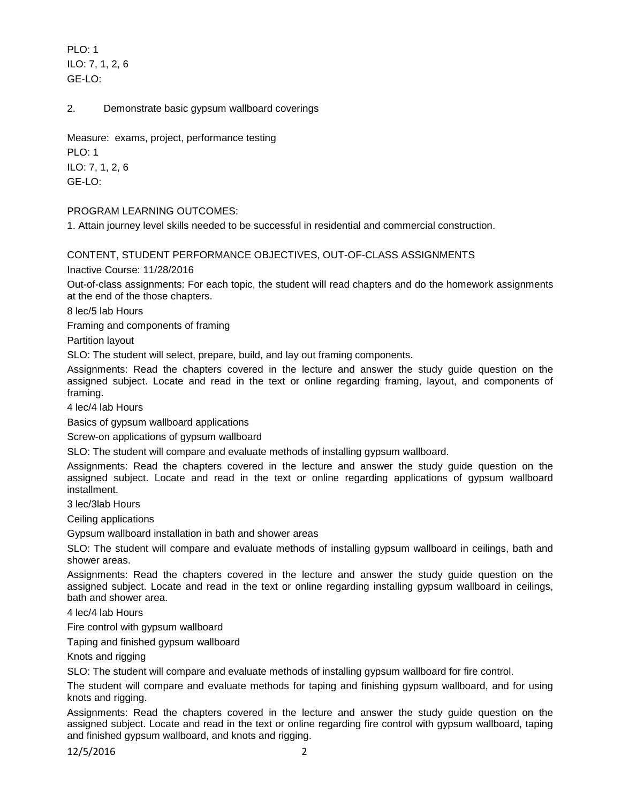PLO: 1 ILO: 7, 1, 2, 6 GE-LO:

2. Demonstrate basic gypsum wallboard coverings

Measure: exams, project, performance testing PLO: 1 ILO: 7, 1, 2, 6 GE-LO:

### PROGRAM LEARNING OUTCOMES:

1. Attain journey level skills needed to be successful in residential and commercial construction.

CONTENT, STUDENT PERFORMANCE OBJECTIVES, OUT-OF-CLASS ASSIGNMENTS

Inactive Course: 11/28/2016

Out-of-class assignments: For each topic, the student will read chapters and do the homework assignments at the end of the those chapters.

8 lec/5 lab Hours

Framing and components of framing

Partition layout

SLO: The student will select, prepare, build, and lay out framing components.

Assignments: Read the chapters covered in the lecture and answer the study guide question on the assigned subject. Locate and read in the text or online regarding framing, layout, and components of framing.

4 lec/4 lab Hours

Basics of gypsum wallboard applications

Screw-on applications of gypsum wallboard

SLO: The student will compare and evaluate methods of installing gypsum wallboard.

Assignments: Read the chapters covered in the lecture and answer the study guide question on the assigned subject. Locate and read in the text or online regarding applications of gypsum wallboard installment.

3 lec/3lab Hours

Ceiling applications

Gypsum wallboard installation in bath and shower areas

SLO: The student will compare and evaluate methods of installing gypsum wallboard in ceilings, bath and shower areas.

Assignments: Read the chapters covered in the lecture and answer the study guide question on the assigned subject. Locate and read in the text or online regarding installing gypsum wallboard in ceilings, bath and shower area.

4 lec/4 lab Hours

Fire control with gypsum wallboard

Taping and finished gypsum wallboard

Knots and rigging

SLO: The student will compare and evaluate methods of installing gypsum wallboard for fire control.

The student will compare and evaluate methods for taping and finishing gypsum wallboard, and for using knots and rigging.

Assignments: Read the chapters covered in the lecture and answer the study guide question on the assigned subject. Locate and read in the text or online regarding fire control with gypsum wallboard, taping and finished gypsum wallboard, and knots and rigging.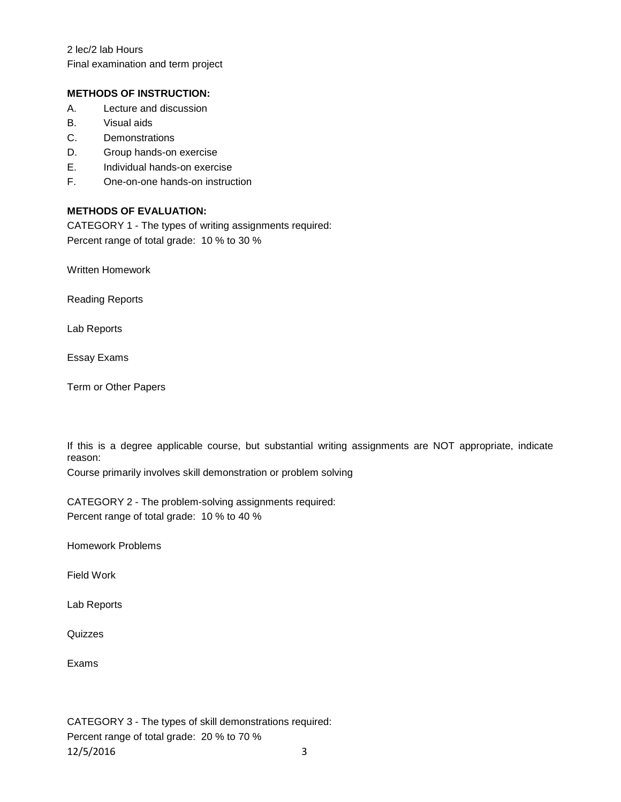2 lec/2 lab Hours Final examination and term project

## **METHODS OF INSTRUCTION:**

- A. Lecture and discussion
- B. Visual aids
- C. Demonstrations
- D. Group hands-on exercise
- E. Individual hands-on exercise
- F. One-on-one hands-on instruction

## **METHODS OF EVALUATION:**

CATEGORY 1 - The types of writing assignments required: Percent range of total grade: 10 % to 30 %

Written Homework

Reading Reports

Lab Reports

Essay Exams

Term or Other Papers

If this is a degree applicable course, but substantial writing assignments are NOT appropriate, indicate reason:

Course primarily involves skill demonstration or problem solving

CATEGORY 2 - The problem-solving assignments required: Percent range of total grade: 10 % to 40 %

Homework Problems

Field Work

Lab Reports

**Quizzes** 

Exams

CATEGORY 3 - The types of skill demonstrations required: Percent range of total grade: 20 % to 70 % 12/5/2016 3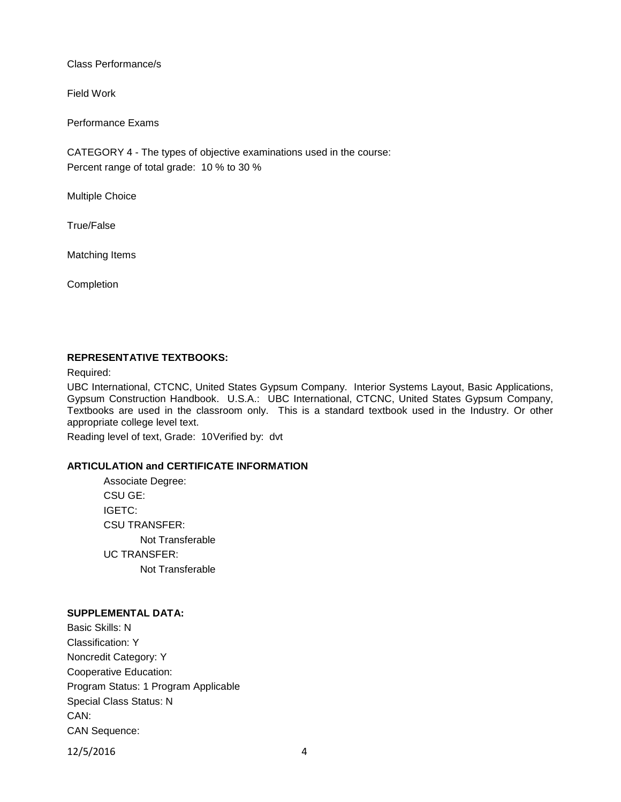Class Performance/s

Field Work

Performance Exams

CATEGORY 4 - The types of objective examinations used in the course: Percent range of total grade: 10 % to 30 %

Multiple Choice

True/False

Matching Items

Completion

### **REPRESENTATIVE TEXTBOOKS:**

Required:

UBC International, CTCNC, United States Gypsum Company. Interior Systems Layout, Basic Applications, Gypsum Construction Handbook. U.S.A.: UBC International, CTCNC, United States Gypsum Company, Textbooks are used in the classroom only. This is a standard textbook used in the Industry. Or other appropriate college level text.

Reading level of text, Grade: 10Verified by: dvt

### **ARTICULATION and CERTIFICATE INFORMATION**

Associate Degree: CSU GE: IGETC: CSU TRANSFER: Not Transferable UC TRANSFER: Not Transferable

## **SUPPLEMENTAL DATA:**

Basic Skills: N Classification: Y Noncredit Category: Y Cooperative Education: Program Status: 1 Program Applicable Special Class Status: N CAN: CAN Sequence:

12/5/2016 4